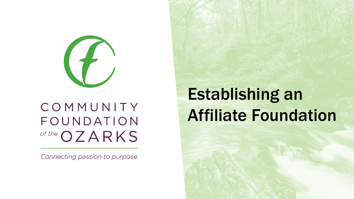

#### COMMUNITY FOUNDATION of the OZARKS

Connecting passion to purpose.

# Establishing an Affiliate Foundation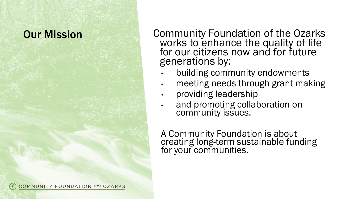COMMUNITY FOUNDATION of the OZARKS

**Our Mission Community Foundation of the Ozarks** works to enhance the quality of life for our citizens now and for future generations by:

- building community endowments
- meeting needs through grant making
- providing leadership
- and promoting collaboration on community issues.

A Community Foundation is about creating long -term sustainable funding for your communities.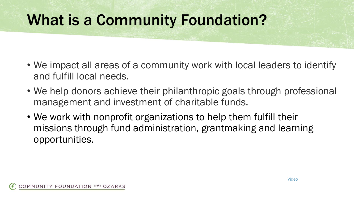## What is a Community Foundation?

- We impact all areas of a community work with local leaders to identify and fulfill local needs.
- We help donors achieve their philanthropic goals through professional management and investment of charitable funds.
- We work with nonprofit organizations to help them fulfill their missions through fund administration, grantmaking and learning opportunities.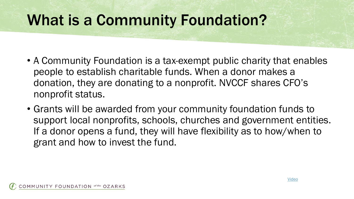## What is a Community Foundation?

- A Community Foundation is a tax-exempt public charity that enables people to establish charitable funds. When a donor makes a donation, they are donating to a nonprofit. NVCCF shares CFO's nonprofit status.
- Grants will be awarded from your community foundation funds to support local nonprofits, schools, churches and government entities. If a donor opens a fund, they will have flexibility as to how/when to grant and how to invest the fund.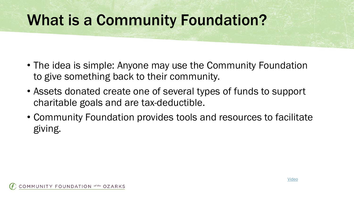## What is a Community Foundation?

- The idea is simple: Anyone may use the Community Foundation to give something back to their community.
- Assets donated create one of several types of funds to support charitable goals and are tax-deductible.
- Community Foundation provides tools and resources to facilitate giving.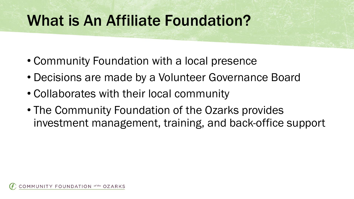### What is An Affiliate Foundation?

- Community Foundation with a local presence
- Decisions are made by a Volunteer Governance Board
- Collaborates with their local community
- The Community Foundation of the Ozarks provides investment management, training, and back-office support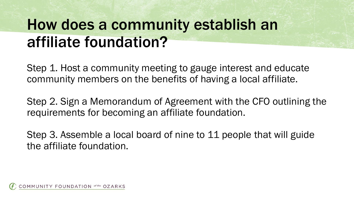# How does a community establish an affiliate foundation?

Step 1. Host a community meeting to gauge interest and educate community members on the benefits of having a local affiliate.

Step 2. Sign a Memorandum of Agreement with the CFO outlining the requirements for becoming an affiliate foundation.

Step 3. Assemble a local board of nine to 11 people that will guide the affiliate foundation.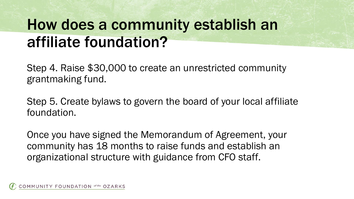# How does a community establish an affiliate foundation?

Step 4. Raise \$30,000 to create an unrestricted community grantmaking fund.

Step 5. Create bylaws to govern the board of your local affiliate foundation.

Once you have signed the Memorandum of Agreement, your community has 18 months to raise funds and establish an organizational structure with guidance from CFO staff.